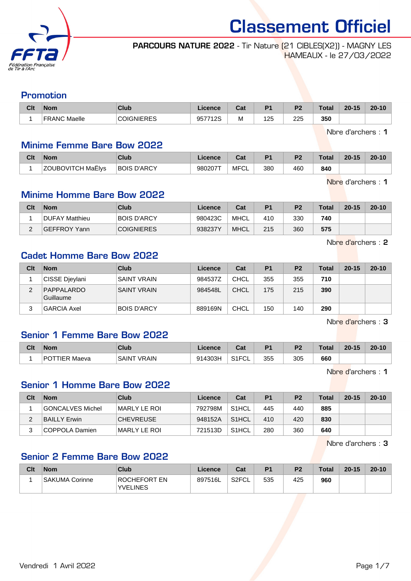

#### PARCOURS NATURE 2022 - Tir Nature (21 CIBLES(X2)) - MAGNY LES HAMEAUX - le 27/03/2022

#### Promotion

| Clt | <b>Nom</b>          | Club             | Licence | ∩~∙<br>ual | D <sub>1</sub> | D <sub>2</sub> | Total | $20 - 15$ | $20 - 10$ |
|-----|---------------------|------------------|---------|------------|----------------|----------------|-------|-----------|-----------|
|     | <b>FRANC Maelle</b> | <b>JICNIERES</b> | 957712S | M          | 125<br>__      | 225<br>___     | 350   |           |           |

Nbre d'archers : 1

#### Minime Femme Bare Bow 2022

| Clt | <b>Nom</b>               | Club        | Licence | <b>DAL</b><br>val | P <sub>1</sub> | P <sub>2</sub> | <b>Total</b> | $20 - 15$ | $20 - 10$ |
|-----|--------------------------|-------------|---------|-------------------|----------------|----------------|--------------|-----------|-----------|
|     | <b>ZOUBOVITCH MaËlys</b> | BOIS D'ARCY | 980207T | MFCL              | 380            | 460            | 840          |           |           |

Nbre d'archers : 1

#### Minime Homme Bare Bow 2022

| Clt | <b>Nom</b>          | Club               | Licence | Cat         | P <sub>1</sub> | P <sub>2</sub> | <b>Total</b> | $20 - 15$ | $20 - 10$ |
|-----|---------------------|--------------------|---------|-------------|----------------|----------------|--------------|-----------|-----------|
|     | DUFAY Matthieu      | <b>BOIS D'ARCY</b> | 980423C | MHCL        | 410            | 330            | 740          |           |           |
|     | <b>GEFFROY Yann</b> | <b>COIGNIERES</b>  | 938237Y | <b>MHCL</b> | 215            | 360            | 575          |           |           |

Nbre d'archers : 2

# Cadet Homme Bare Bow 2022

| Clt | <b>Nom</b>              | Club               | Licence | Cat         | P <sub>1</sub> | P <sub>2</sub> | Total | $20 - 15$ | $20 - 10$ |
|-----|-------------------------|--------------------|---------|-------------|----------------|----------------|-------|-----------|-----------|
|     | CISSE Dievlani          | <b>SAINT VRAIN</b> | 984537Z | CHCL        | 355            | 355            | 710   |           |           |
| ◠   | PAPPALARDO<br>Guillaume | <b>SAINT VRAIN</b> | 984548L | <b>CHCL</b> | 175            | 215            | 390   |           |           |
|     | <b>GARCIA Axel</b>      | <b>BOIS D'ARCY</b> | 889169N | <b>CHCL</b> | 150            | 140            | 290   |           |           |

Nbre d'archers : 3

# Senior 1 Femme Bare Bow 2022

| Clt | <b>Nom</b>                      | Club                  | .icence | $F_{\alpha}$<br>va.                   | D <sub>4</sub> | פם  | <b>Total</b> | $20 - 15$ | $20 - 10$ |
|-----|---------------------------------|-----------------------|---------|---------------------------------------|----------------|-----|--------------|-----------|-----------|
|     | TIFR<br>D <sub>(</sub><br>Maeva | <b>VRAIN</b><br>SAINT | 914303H | $\sim$ $\sim$ $\sim$<br>ື⊵ບ∟<br>ا ا ت | 355            | 305 | 660          |           |           |

Nbre d'archers : 1

#### Senior 1 Homme Bare Bow 2022

| Clt | <b>Nom</b>       | Club             | Licence | Cat                | P <sub>1</sub> | P <sub>2</sub> | <b>Total</b> | $20 - 15$ | $20 - 10$ |
|-----|------------------|------------------|---------|--------------------|----------------|----------------|--------------|-----------|-----------|
|     | GONCALVES Michel | MARLY LE ROI     | 792798M | S <sub>1</sub> HCL | 445            | 440            | 885          |           |           |
|     | BAILLY Erwin     | <b>CHEVREUSE</b> | 948152A | S1HCL              | 410            | 420            | 830          |           |           |
|     | COPPOLA Damien   | IMARLY LE ROI    | 721513D | S <sub>1</sub> HCL | 280            | 360            | 640          |           |           |

Nbre d'archers : 3

# Senior 2 Femme Bare Bow 2022

| Clt | <b>Nom</b>     | Club                            | ∟icence | Cat   | P <sub>1</sub> | P <sub>2</sub> | <b>Total</b> | $20 - 15$ | $20 - 10$ |
|-----|----------------|---------------------------------|---------|-------|----------------|----------------|--------------|-----------|-----------|
|     | SAKUMA Corinne | ROCHEFORT EN<br><b>YVELINES</b> | 897516L | S2FCL | 535            | 425            | 960          |           |           |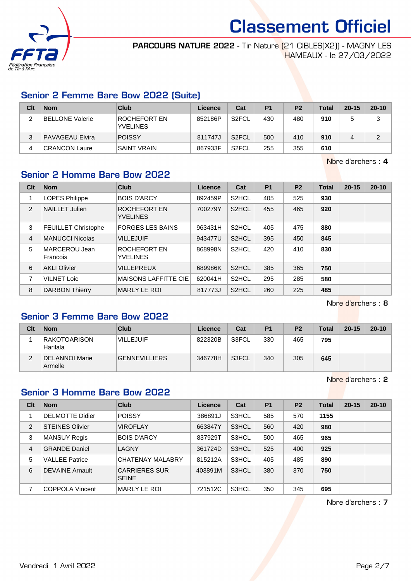

PARCOURS NATURE 2022 - Tir Nature (21 CIBLES(X2)) - MAGNY LES HAMEAUX - le 27/03/2022

#### Senior 2 Femme Bare Bow 2022 (Suite)

| Clt | <b>Nom</b>             | Club                            | Licence | Cat                | P <sub>1</sub> | P <sub>2</sub> | <b>Total</b> | $20 - 15$ | $20 - 10$ |
|-----|------------------------|---------------------------------|---------|--------------------|----------------|----------------|--------------|-----------|-----------|
|     | <b>BELLONE Valerie</b> | ROCHEFORT EN<br><b>YVELINES</b> | 852186P | S <sub>2</sub> FCL | 430            | 480            | 910          |           | ົ<br>J    |
| 3   | <b>PAVAGEAU Elvira</b> | <b>POISSY</b>                   | 811747J | S <sub>2</sub> FCL | 500            | 410            | 910          | 4         | ົ         |
| 4   | <b>CRANCON Laure</b>   | <b>SAINT VRAIN</b>              | 867933F | S <sub>2</sub> FCL | 255            | 355            | 610          |           |           |

Nbre d'archers : 4

# Senior 2 Homme Bare Bow 2022

| Clt | <b>Nom</b>                 | <b>Club</b>                     | Licence | Cat                | <b>P1</b> | P <sub>2</sub> | <b>Total</b> | $20 - 15$ | $20 - 10$ |
|-----|----------------------------|---------------------------------|---------|--------------------|-----------|----------------|--------------|-----------|-----------|
| 1   | <b>LOPES Philippe</b>      | <b>BOIS D'ARCY</b>              | 892459P | S <sub>2</sub> HCL | 405       | 525            | 930          |           |           |
| 2   | <b>NAILLET Julien</b>      | ROCHEFORT EN<br><b>YVELINES</b> | 700279Y | S <sub>2</sub> HCL | 455       | 465            | 920          |           |           |
| 3   | <b>FEUILLET Christophe</b> | <b>FORGES LES BAINS</b>         | 963431H | S <sub>2</sub> HCL | 405       | 475            | 880          |           |           |
| 4   | <b>MANUCCI Nicolas</b>     | <b>VILLEJUIF</b>                | 943477U | S <sub>2</sub> HCL | 395       | 450            | 845          |           |           |
| 5   | MARCEROU Jean<br>Francois  | ROCHEFORT EN<br><b>YVELINES</b> | 868998N | S <sub>2</sub> HCL | 420       | 410            | 830          |           |           |
| 6   | <b>AKLI Olivier</b>        | <b>VILLEPREUX</b>               | 689986K | S <sub>2</sub> HCL | 385       | 365            | 750          |           |           |
| 7   | <b>VILNET Loic</b>         | <b>MAISONS LAFFITTE CIE</b>     | 620041H | S <sub>2</sub> HCL | 295       | 285            | 580          |           |           |
| 8   | <b>DARBON Thierry</b>      | <b>MARLY LE ROI</b>             | 817773J | S <sub>2</sub> HCL | 260       | 225            | 485          |           |           |

Nbre d'archers : 8

# Senior 3 Femme Bare Bow 2022

| Clt | <b>Nom</b>                | Club                 | <b>Licence</b> | Cat          | P <sub>1</sub> | P <sub>2</sub> | <b>Total</b> | $20 - 15$ | $20 - 10$ |
|-----|---------------------------|----------------------|----------------|--------------|----------------|----------------|--------------|-----------|-----------|
|     | RAKOTOARISON<br>Harilala  | <b>VILLEJUIF</b>     | 822320B        | S3FCL        | 330            | 465            | 795          |           |           |
|     | DELANNOI Marie<br>Armelle | <b>GENNEVILLIERS</b> | 346778H        | <b>S3FCL</b> | 340            | 305            | 645          |           |           |

Nbre d'archers : 2

# Senior 3 Homme Bare Bow 2022

| Clt | <b>Nom</b>             | <b>Club</b>                          | Licence | Cat   | <b>P1</b> | P <sub>2</sub> | Total | $20 - 15$ | $20 - 10$ |
|-----|------------------------|--------------------------------------|---------|-------|-----------|----------------|-------|-----------|-----------|
|     | <b>DELMOTTE Didier</b> | <b>POISSY</b>                        | 386891J | S3HCL | 585       | 570            | 1155  |           |           |
| 2   | <b>STEINES Olivier</b> | <b>VIROFLAY</b>                      | 663847Y | S3HCL | 560       | 420            | 980   |           |           |
| 3   | <b>MANSUY Regis</b>    | <b>BOIS D'ARCY</b>                   | 837929T | S3HCL | 500       | 465            | 965   |           |           |
| 4   | <b>GRANDE Daniel</b>   | LAGNY                                | 361724D | S3HCL | 525       | 400            | 925   |           |           |
| 5   | <b>VALLEE Patrice</b>  | <b>CHATENAY MALABRY</b>              | 815212A | S3HCL | 405       | 485            | 890   |           |           |
| 6   | DEVAINE Arnault        | <b>CARRIERES SUR</b><br><b>SEINE</b> | 403891M | S3HCL | 380       | 370            | 750   |           |           |
| 7   | COPPOLA Vincent        | MARLY LE ROI                         | 721512C | S3HCL | 350       | 345            | 695   |           |           |

Nbre d'archers : 7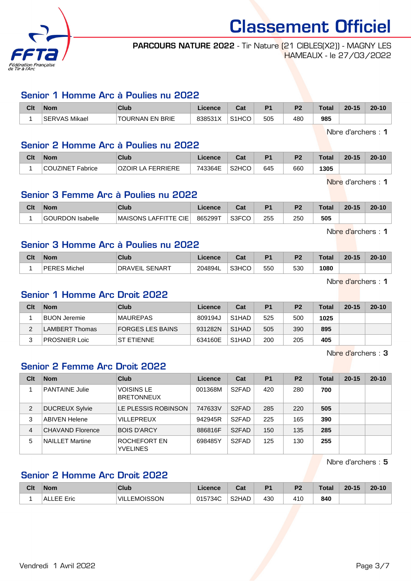

PARCOURS NATURE 2022 - Tir Nature (21 CIBLES(X2)) - MAGNY LES HAMEAUX - le 27/03/2022

#### Senior 1 Homme Arc à Poulies nu 2022

| Clt | <b>Nom</b>              | Club            | <b>Cence</b> | <b>Take</b><br>val             | D <sub>4</sub> | n.  | <b>Tota</b> | $20 - 15$ | $20 - 10$ |
|-----|-------------------------|-----------------|--------------|--------------------------------|----------------|-----|-------------|-----------|-----------|
|     | Mikael<br><b>SERVAS</b> | TOURNAN EN BRIE | 8385318      | S <sub>1</sub> H <sub>CO</sub> | 505            | 480 | 985         |           |           |

Nbre d'archers : 1

#### Senior 2 Homme Arc à Poulies nu 2022

| Clt | <b>Nom</b>                   | <b>Club</b>            | Licence | ⊍a                 | P <sub>1</sub> | P <sub>2</sub> | <b>Total</b> | $20 - 15$ | $20 - 10$ |
|-----|------------------------------|------------------------|---------|--------------------|----------------|----------------|--------------|-----------|-----------|
|     | T Fabrice<br><b>COUZINET</b> | LA FERRIERE<br>. )IR L | 743364E | S <sub>2</sub> HCO | 645            | 660            | 1305         |           |           |

Nbre d'archers : 1

# Senior 3 Femme Arc à Poulies nu 2022

| Clt | Nom               | Club                                  | icence  | ו ה<br>ual   | D <sub>1</sub> | D <sub>2</sub> | Total | $20 - 15$ | $20 - 10$ |
|-----|-------------------|---------------------------------------|---------|--------------|----------------|----------------|-------|-----------|-----------|
|     | LIRDON<br>sabelle | <b>_AFFITTE CIE</b><br><b>MAISONS</b> | 865299T | S3FCO<br>vu. | 255            | 250            | 505   |           |           |

Nbre d'archers : 1

#### Senior 3 Homme Arc à Poulies nu 2022

| Clt | <b>Nom</b>   | Club                            | .icence | יים<br>va. | D <sub>4</sub> | D.  | Total | $20 - 15$ | $20 - 10$ |
|-----|--------------|---------------------------------|---------|------------|----------------|-----|-------|-----------|-----------|
|     | PERES Michel | <b>SENART</b><br><b>DRAVEIL</b> | 204894L | S3HCO      | 550            | 530 | 1080  |           |           |

Nbre d'archers : 1

# Senior 1 Homme Arc Droit 2022

| Clt | <b>Nom</b>          | Club              | Licence | Cat                | P <sub>1</sub> | P <sub>2</sub> | <b>Total</b> | $20 - 15$ | $20 - 10$ |
|-----|---------------------|-------------------|---------|--------------------|----------------|----------------|--------------|-----------|-----------|
|     | <b>BUON Jeremie</b> | <b>MAUREPAS</b>   | 809194J | S <sub>1</sub> HAD | 525            | 500            | 1025         |           |           |
|     | LAMBERT Thomas      | FORGES LES BAINS  | 931282N | S <sub>1</sub> HAD | 505            | 390            | 895          |           |           |
| 3   | PROSNIER Loic       | <b>ST ETIENNE</b> | 634160E | S1HAD              | 200            | 205            | 405          |           |           |

Nbre d'archers : 3

# Senior 2 Femme Arc Droit 2022

| Clt            | <b>Nom</b>              | Club                                   | Licence | Cat                | <b>P1</b> | <b>P2</b> | Total | $20 - 15$ | $20 - 10$ |
|----------------|-------------------------|----------------------------------------|---------|--------------------|-----------|-----------|-------|-----------|-----------|
|                | <b>PANTAINE Julie</b>   | <b>VOISINS LE</b><br><b>BRETONNEUX</b> | 001368M | S <sub>2</sub> FAD | 420       | 280       | 700   |           |           |
| $\overline{2}$ | <b>DUCREUX Sylvie</b>   | LE PLESSIS ROBINSON                    | 747633V | S <sub>2</sub> FAD | 285       | 220       | 505   |           |           |
| 3              | <b>ABIVEN Helene</b>    | <b>VILLEPREUX</b>                      | 942945R | S <sub>2</sub> FAD | 225       | 165       | 390   |           |           |
| 4              | <b>CHAVAND Florence</b> | <b>BOIS D'ARCY</b>                     | 886816F | S <sub>2</sub> FAD | 150       | 135       | 285   |           |           |
| 5              | <b>NAILLET Martine</b>  | ROCHEFORT EN<br><b>YVELINES</b>        | 698485Y | S <sub>2</sub> FAD | 125       | 130       | 255   |           |           |

Nbre d'archers : 5

# Senior 2 Homme Arc Droit 2022

| Clt | <b>Nom</b>       | <b>Club</b>            | Licence | <b>Total</b><br>uai | D <sub>4</sub> | D <sub>2</sub> | Total | $20 - 15$ | $20 - 10$ |
|-----|------------------|------------------------|---------|---------------------|----------------|----------------|-------|-----------|-----------|
|     | Eric<br>AL<br>-- | <b>EMOISSON</b><br>VII | 015734C | S2HAD               | 430            | 41C            | 840   |           |           |

Vendredi 1 Avril 2022 Page 3/7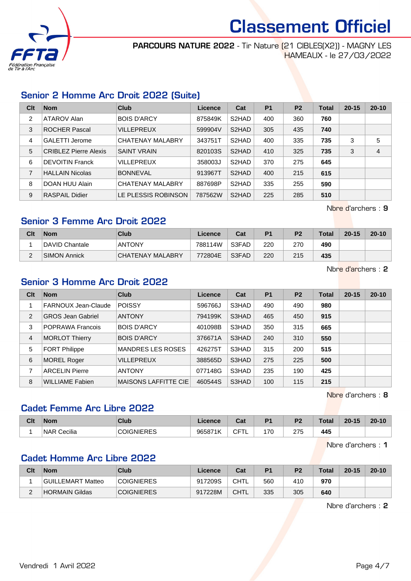

PARCOURS NATURE 2022 - Tir Nature (21 CIBLES(X2)) - MAGNY LES HAMEAUX - le 27/03/2022

# Senior 2 Homme Arc Droit 2022 (Suite)

| Clt | <b>Nom</b>                   | Club                | Licence | Cat                | <b>P1</b> | P <sub>2</sub> | Total | $20 - 15$ | $20 - 10$      |
|-----|------------------------------|---------------------|---------|--------------------|-----------|----------------|-------|-----------|----------------|
| 2   | ATAROV Alan                  | <b>BOIS D'ARCY</b>  | 875849K | S2HAD              | 400       | 360            | 760   |           |                |
| 3   | <b>ROCHER Pascal</b>         | <b>VILLEPREUX</b>   | 599904V | S <sub>2</sub> HAD | 305       | 435            | 740   |           |                |
| 4   | <b>GALETTI Jerome</b>        | CHATENAY MALABRY    | 343751T | S <sub>2</sub> HAD | 400       | 335            | 735   | 3         | 5              |
| 5   | <b>CRIBLEZ Pierre Alexis</b> | <b>SAINT VRAIN</b>  | 820103S | S2HAD              | 410       | 325            | 735   | 3         | $\overline{4}$ |
| 6   | <b>DEVOITIN Franck</b>       | <b>VILLEPREUX</b>   | 358003J | S <sub>2</sub> HAD | 370       | 275            | 645   |           |                |
| 7   | <b>HALLAIN Nicolas</b>       | <b>BONNEVAL</b>     | 913967T | S <sub>2</sub> HAD | 400       | 215            | 615   |           |                |
| 8   | DOAN HUU Alain               | CHATENAY MALABRY    | 887698P | S <sub>2</sub> HAD | 335       | 255            | 590   |           |                |
| 9   | <b>RASPAIL Didier</b>        | LE PLESSIS ROBINSON | 787562W | S <sub>2</sub> HAD | 225       | 285            | 510   |           |                |

Nbre d'archers : 9

# Senior 3 Femme Arc Droit 2022

| Clt      | <b>Nom</b>          | Club             | Licence | Cat   | P <sub>1</sub> | P <sub>2</sub> | <b>Total</b> | $20 - 15$ | $20 - 10$ |
|----------|---------------------|------------------|---------|-------|----------------|----------------|--------------|-----------|-----------|
|          | DAVID Chantale      | <b>ANTONY</b>    | 788114W | S3FAD | 220            | 270            | 490          |           |           |
| <u>.</u> | <b>SIMON Annick</b> | CHATENAY MALABRY | 772804E | S3FAD | 220            | 215            | 435          |           |           |

Nbre d'archers : 2

#### Senior 3 Homme Arc Droit 2022

| Clt | <b>Nom</b>               | <b>Club</b>                 | Licence | Cat   | <b>P1</b> | <b>P2</b> | <b>Total</b> | $20 - 15$ | $20 - 10$ |
|-----|--------------------------|-----------------------------|---------|-------|-----------|-----------|--------------|-----------|-----------|
|     | FARNOUX Jean-Claude      | <b>POISSY</b>               | 596766J | S3HAD | 490       | 490       | 980          |           |           |
| 2   | <b>GROS Jean Gabriel</b> | <b>ANTONY</b>               | 794199K | S3HAD | 465       | 450       | 915          |           |           |
| 3   | POPRAWA Francois         | <b>BOIS D'ARCY</b>          | 401098B | S3HAD | 350       | 315       | 665          |           |           |
| 4   | <b>MORLOT Thierry</b>    | <b>BOIS D'ARCY</b>          | 376671A | S3HAD | 240       | 310       | 550          |           |           |
| 5   | <b>FORT Philippe</b>     | <b>MANDRES LES ROSES</b>    | 426275T | S3HAD | 315       | 200       | 515          |           |           |
| 6   | <b>MOREL Roger</b>       | <b>VILLEPREUX</b>           | 388565D | S3HAD | 275       | 225       | 500          |           |           |
| 7   | <b>ARCELIN Pierre</b>    | <b>ANTONY</b>               | 077148G | S3HAD | 235       | 190       | 425          |           |           |
| 8   | <b>WILLIAME Fabien</b>   | <b>MAISONS LAFFITTE CIE</b> | 460544S | S3HAD | 100       | 115       | 215          |           |           |

Nbre d'archers : 8

# Cadet Femme Arc Libre 2022

| Clt | <b>Nom</b>            | <b>Club</b>                               | <b>Licence</b> | Cat      | D4 | D <sub>0</sub> | Total | $20 - 15$ | $20 - 10$ |
|-----|-----------------------|-------------------------------------------|----------------|----------|----|----------------|-------|-----------|-----------|
|     | Cecilia<br><b>NAR</b> | <b>SNIERES</b><br>~<br>$\mathcal{H}$<br>w | 965871K        | ~--<br>◡ | 70 | つフド<br>ں ہے    | 445   |           |           |

Nbre d'archers : 1

#### Cadet Homme Arc Libre 2022

| Clt                | <b>Nom</b>        | Club              | Licence | Cat  | P <sub>1</sub> | P <sub>2</sub> | <b>Total</b> | $20 - 15$ | $20 - 10$ |
|--------------------|-------------------|-------------------|---------|------|----------------|----------------|--------------|-----------|-----------|
|                    | GUILLEMART Matteo | <b>COIGNIERES</b> | 917209S | CHTL | 560            | 410            | 970          |           |           |
| $\sim$<br><u>.</u> | HORMAIN Gildas    | <b>COIGNIERES</b> | 917228M | CHTL | 335            | 305            | 640          |           |           |

Nbre d'archers : 2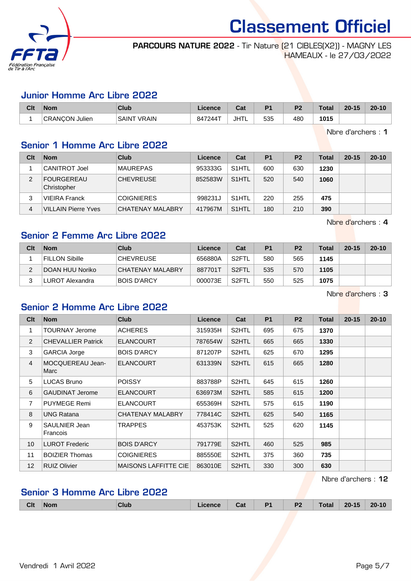

PARCOURS NATURE 2022 - Tir Nature (21 CIBLES(X2)) - MAGNY LES HAMEAUX - le 27/03/2022

#### Junior Homme Arc Libre 2022

| Clt | <b>Nom</b>         | Club                   | Licence | <b>That</b><br>ual | D <sub>4</sub> | D <sub>2</sub> | Total | $20 - 15$ | $20 - 10$ |
|-----|--------------------|------------------------|---------|--------------------|----------------|----------------|-------|-----------|-----------|
|     | CRANCON,<br>Julien | `VRAIN<br><b>SAINT</b> | 847244T | JHTL               | 535            | 480            | 1015  |           |           |

Nbre d'archers : 1

#### Senior 1 Homme Arc Libre 2022

| Clt | <b>Nom</b>                       | Club                    | Licence | Cat                | P <sub>1</sub> | P <sub>2</sub> | Total | $20 - 15$ | $20 - 10$ |
|-----|----------------------------------|-------------------------|---------|--------------------|----------------|----------------|-------|-----------|-----------|
|     | <b>CANITROT Joel</b>             | <b>MAUREPAS</b>         | 953333G | S <sub>1</sub> HTL | 600            | 630            | 1230  |           |           |
|     | <b>FOURGEREAU</b><br>Christopher | <b>CHEVREUSE</b>        | 852583W | S <sub>1</sub> HTL | 520            | 540            | 1060  |           |           |
| 3   | <b>VIEIRA Franck</b>             | <b>COIGNIERES</b>       | 998231J | S <sub>1</sub> HTL | 220            | 255            | 475   |           |           |
| 4   | <b>VILLAIN Pierre Yves</b>       | <b>CHATENAY MALABRY</b> | 417967M | S <sub>1</sub> HTL | 180            | 210            | 390   |           |           |

Nbre d'archers : 4

# Senior 2 Femme Arc Libre 2022

| Clt | <b>Nom</b>            | Club               | Licence | Cat                | P <sub>1</sub> | P <sub>2</sub> | Total | $20 - 15$ | $20 - 10$ |
|-----|-----------------------|--------------------|---------|--------------------|----------------|----------------|-------|-----------|-----------|
|     | <b>FILLON Sibille</b> | <b>CHEVREUSE</b>   | 656880A | S <sub>2</sub> FTL | 580            | 565            | 1145  |           |           |
| ົ   | DOAN HUU Noriko       | CHATENAY MALABRY   | 887701T | S <sub>2</sub> FTL | 535            | 570            | 1105  |           |           |
|     | LUROT Alexandra       | <b>BOIS D'ARCY</b> | 000073E | S2FTL              | 550            | 525            | 1075  |           |           |

Nbre d'archers : 3

#### Senior 2 Homme Arc Libre 2022

| Clt             | <b>Nom</b>                       | <b>Club</b>                 | Licence | Cat                | <b>P1</b> | P <sub>2</sub> | Total | $20 - 15$ | $20 - 10$ |
|-----------------|----------------------------------|-----------------------------|---------|--------------------|-----------|----------------|-------|-----------|-----------|
| 1               | <b>TOURNAY Jerome</b>            | <b>ACHERES</b>              | 315935H | S <sub>2</sub> HTL | 695       | 675            | 1370  |           |           |
| 2               | <b>CHEVALLIER Patrick</b>        | <b>ELANCOURT</b>            | 787654W | S <sub>2</sub> HTL | 665       | 665            | 1330  |           |           |
| 3               | <b>GARCIA Jorge</b>              | <b>BOIS D'ARCY</b>          | 871207P | S <sub>2</sub> HTL | 625       | 670            | 1295  |           |           |
| $\overline{4}$  | MOCQUEREAU Jean-<br>Marc         | <b>ELANCOURT</b>            | 631339N | S2HTL              | 615       | 665            | 1280  |           |           |
| 5               | <b>LUCAS Bruno</b>               | <b>POISSY</b>               | 883788P | S <sub>2</sub> HTL | 645       | 615            | 1260  |           |           |
| 6               | <b>GAUDINAT Jerome</b>           | <b>ELANCOURT</b>            | 636973M | S <sub>2</sub> HTL | 585       | 615            | 1200  |           |           |
| $\overline{7}$  | <b>PUYMEGE Remi</b>              | <b>ELANCOURT</b>            | 655369H | S <sub>2</sub> HTL | 575       | 615            | 1190  |           |           |
| 8               | <b>UNG Ratana</b>                | CHATENAY MALABRY            | 778414C | S2HTL              | 625       | 540            | 1165  |           |           |
| 9               | <b>SAULNIER Jean</b><br>Francois | TRAPPES                     | 453753K | S <sub>2</sub> HTL | 525       | 620            | 1145  |           |           |
| 10 <sup>1</sup> | <b>LUROT Frederic</b>            | <b>BOIS D'ARCY</b>          | 791779E | S2HTL              | 460       | 525            | 985   |           |           |
| 11              | <b>BOIZIER Thomas</b>            | <b>COIGNIERES</b>           | 885550E | S2HTL              | 375       | 360            | 735   |           |           |
| 12 <sup>2</sup> | <b>RUIZ Olivier</b>              | <b>MAISONS LAFFITTE CIE</b> | 863010E | S <sub>2</sub> HTL | 330       | 300            | 630   |           |           |

Nbre d'archers : 12

# Senior 3 Homme Arc Libre 2022

| <b>Clt</b> | <b>Nom</b> | Club | - - -<br>⊍dl | $\sim$ | D <sub>2</sub><br>--- | . otal | .45<br>$20 -$<br>4 W | $20 - 10$ |
|------------|------------|------|--------------|--------|-----------------------|--------|----------------------|-----------|
|            |            |      |              |        |                       |        |                      |           |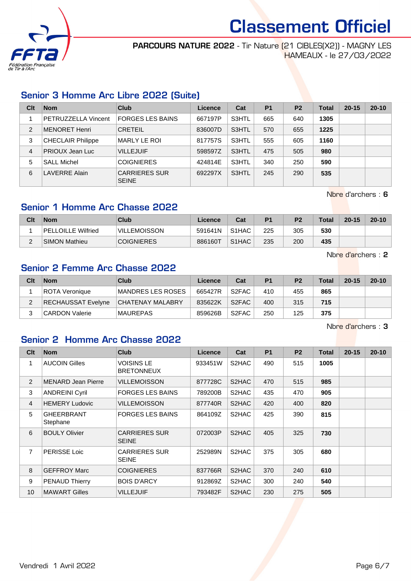

PARCOURS NATURE 2022 - Tir Nature (21 CIBLES(X2)) - MAGNY LES HAMEAUX - le 27/03/2022

# Senior 3 Homme Arc Libre 2022 (Suite)

| Clt            | <b>Nom</b>               | Club                                 | Licence | Cat   | P <sub>1</sub> | P <sub>2</sub> | <b>Total</b> | $20 - 15$ | $20 - 10$ |
|----------------|--------------------------|--------------------------------------|---------|-------|----------------|----------------|--------------|-----------|-----------|
|                | PETRUZZELLA Vincent      | <b>FORGES LES BAINS</b>              | 667197P | S3HTL | 665            | 640            | 1305         |           |           |
| $\overline{2}$ | <b>MENORET Henri</b>     | <b>CRETEIL</b>                       | 836007D | S3HTL | 570            | 655            | 1225         |           |           |
| 3              | <b>CHECLAIR Philippe</b> | <b>MARLY LE ROI</b>                  | 817757S | S3HTL | 555            | 605            | 1160         |           |           |
| 4              | <b>PRIOUX Jean Luc</b>   | <b>VILLEJUIF</b>                     | 598597Z | S3HTL | 475            | 505            | 980          |           |           |
| 5              | <b>SALL Michel</b>       | <b>COIGNIERES</b>                    | 424814E | S3HTL | 340            | 250            | 590          |           |           |
| 6              | <b>LAVERRE Alain</b>     | <b>CARRIERES SUR</b><br><b>SEINE</b> | 692297X | S3HTL | 245            | 290            | 535          |           |           |

Nbre d'archers : 6

#### Senior 1 Homme Arc Chasse 2022

| Clt | <b>Nom</b>                | Club                | Licence | Cat                | P <sub>1</sub> | P <sub>2</sub> | <b>Total</b> | $20 - 15$ | $20 - 10$ |
|-----|---------------------------|---------------------|---------|--------------------|----------------|----------------|--------------|-----------|-----------|
|     | <b>PELLOILLE Wilfried</b> | <b>VILLEMOISSON</b> | 591641N | S <sub>1</sub> HAC | 225            | 305            | 530          |           |           |
|     | <b>SIMON Mathieu</b>      | <b>COIGNIERES</b>   | 886160T | S <sub>1</sub> HAC | 235            | 200            | 435          |           |           |

Nbre d'archers : 2

#### Senior 2 Femme Arc Chasse 2022

| Clt | <b>Nom</b>            | <b>Club</b>             | Licence | Cat                | P <sub>1</sub> | P <sub>2</sub> | <b>Total</b> | $20 - 15$ | $20 - 10$ |
|-----|-----------------------|-------------------------|---------|--------------------|----------------|----------------|--------------|-----------|-----------|
|     | ROTA Veronique        | MANDRES LES ROSES       | 665427R | S2FAC              | 410            | 455            | 865          |           |           |
|     | RECHAUSSAT Evelyne    | <b>CHATENAY MALABRY</b> | 835622K | S <sub>2</sub> FAC | 400            | 315            | 715          |           |           |
|     | <b>CARDON Valerie</b> | <b>MAUREPAS</b>         | 859626B | S <sub>2</sub> FAC | 250            | 125            | 375          |           |           |

Nbre d'archers : 3

#### Senior 2 Homme Arc Chasse 2022

| Clt            | <b>Nom</b>                    | <b>Club</b>                          | <b>Licence</b> | Cat                | P <sub>1</sub> | <b>P2</b> | <b>Total</b> | $20 - 15$ | $20 - 10$ |
|----------------|-------------------------------|--------------------------------------|----------------|--------------------|----------------|-----------|--------------|-----------|-----------|
| 1              | <b>AUCOIN Gilles</b>          | VOISINS LE<br><b>BRETONNEUX</b>      | 933451W        | S <sub>2</sub> HAC | 490            | 515       | 1005         |           |           |
| 2              | <b>MENARD Jean Pierre</b>     | VILLEMOISSON                         | 877728C        | S2HAC              | 470            | 515       | 985          |           |           |
| 3              | <b>ANDREINI Cyril</b>         | <b>FORGES LES BAINS</b>              | 789200B        | S2HAC              | 435            | 470       | 905          |           |           |
| $\overline{4}$ | <b>HEMERY Ludovic</b>         | <b>VILLEMOISSON</b>                  | 877740R        | S2HAC              | 420            | 400       | 820          |           |           |
| 5              | <b>GHEERBRANT</b><br>Stephane | <b>FORGES LES BAINS</b>              | 864109Z        | S2HAC              | 425            | 390       | 815          |           |           |
| 6              | <b>BOULY Olivier</b>          | <b>CARRIERES SUR</b><br><b>SEINE</b> | 072003P        | S2HAC              | 405            | 325       | 730          |           |           |
| $\overline{7}$ | PERISSE Loic                  | <b>CARRIERES SUR</b><br><b>SEINE</b> | 252989N        | S2HAC              | 375            | 305       | 680          |           |           |
| 8              | <b>GEFFROY Marc</b>           | <b>COIGNIERES</b>                    | 837766R        | S2HAC              | 370            | 240       | 610          |           |           |
| 9              | <b>PENAUD Thierry</b>         | <b>BOIS D'ARCY</b>                   | 912869Z        | S2HAC              | 300            | 240       | 540          |           |           |
| 10             | <b>MAWART Gilles</b>          | <b>VILLEJUIF</b>                     | 793482F        | S2HAC              | 230            | 275       | 505          |           |           |